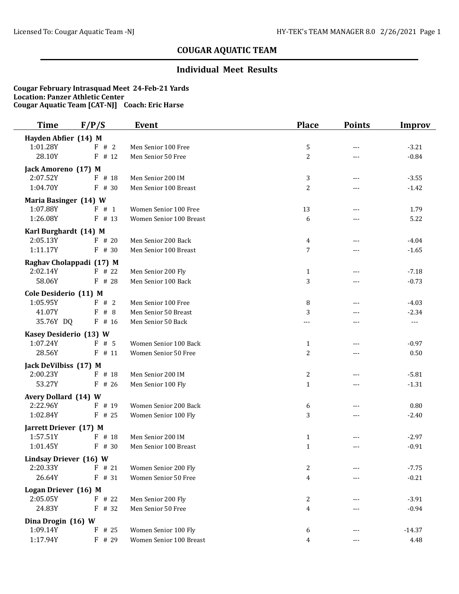### **Individual Meet Results**

| Time                   | F/P/S                    | <b>Event</b>            | <b>Place</b>   | <b>Points</b> | <b>Improv</b> |
|------------------------|--------------------------|-------------------------|----------------|---------------|---------------|
| Hayden Abfier (14) M   |                          |                         |                |               |               |
| 1:01.28Y               | F # 2                    | Men Senior 100 Free     | 5              | ---           | $-3.21$       |
| 28.10Y                 | $F$ # 12                 | Men Senior 50 Free      | $\overline{c}$ | ---           | $-0.84$       |
| Jack Amoreno (17) M    |                          |                         |                |               |               |
| 2:07.52Y               | F # 18                   | Men Senior 200 IM       | 3              | ---           | $-3.55$       |
| 1:04.70Y               | F<br># 30                | Men Senior 100 Breast   | $\overline{2}$ |               | $-1.42$       |
| Maria Basinger (14) W  |                          |                         |                |               |               |
| 1:07.88Y               | F # 1                    | Women Senior 100 Free   | 13             | ---           | 1.79          |
| 1:26.08Y               | $F$ # 13                 | Women Senior 100 Breast | 6              | ---           | 5.22          |
| Karl Burghardt (14) M  |                          |                         |                |               |               |
| 2:05.13Y               | $F$ # 20                 | Men Senior 200 Back     | $\overline{4}$ | $---$         | $-4.04$       |
| 1:11.17Y               | $F$ # 30                 | Men Senior 100 Breast   | 7              | $---$         | $-1.65$       |
|                        | Raghav Cholappadi (17) M |                         |                |               |               |
| 2:02.14Y               | $F$ # 22                 | Men Senior 200 Fly      | 1              | ---           | $-7.18$       |
| 58.06Y                 | $F$ # 28                 | Men Senior 100 Back     | 3              |               | $-0.73$       |
| Cole Desiderio (11) M  |                          |                         |                |               |               |
| 1:05.95Y               | F # 2                    | Men Senior 100 Free     | 8              | ---           | $-4.03$       |
| 41.07Y                 | F#8                      | Men Senior 50 Breast    | 3              | ---           | $-2.34$       |
| 35.76Y DQ              | $F$ # 16                 | Men Senior 50 Back      | $---$          | ---           | ---           |
| Kasey Desiderio (13) W |                          |                         |                |               |               |
| 1:07.24Y               | F#5                      | Women Senior 100 Back   | 1              |               | $-0.97$       |
| 28.56Y                 | $F$ # 11                 | Women Senior 50 Free    | $\overline{c}$ | ---           | $0.50\,$      |
| Jack DeVilbiss (17) M  |                          |                         |                |               |               |
| 2:00.23Y               | $F$ # 18                 | Men Senior 200 IM       | 2              | ---           | $-5.81$       |
| 53.27Y                 | $F$ # 26                 | Men Senior 100 Fly      | 1              | ---           | $-1.31$       |
| Avery Dollard (14) W   |                          |                         |                |               |               |
| 2:22.96Y               | $F$ # 19                 | Women Senior 200 Back   | 6              | ---           | 0.80          |
| 1:02.84Y               | $F$ # 25                 | Women Senior 100 Fly    | 3              | ---           | $-2.40$       |
| Jarrett Driever (17) M |                          |                         |                |               |               |
| 1:57.51Y               | $F$ # 18                 | Men Senior 200 IM       | $\mathbf{1}$   | ---           | $-2.97$       |
| 1:01.45Y               | $F$ # 30                 | Men Senior 100 Breast   | 1              |               | $-0.91$       |
| Lindsay Driever (16) W |                          |                         |                |               |               |
| 2:20.33Y               | # 21<br>F                | Women Senior 200 Fly    | 2              | ---           | $-7.75$       |
| 26.64Y                 | $F$ # 31                 | Women Senior 50 Free    | 4              |               | $-0.21$       |
| Logan Driever (16) M   |                          |                         |                |               |               |
| 2:05.05Y               | $F$ # 22                 | Men Senior 200 Fly      | 2              | $---$         | $-3.91$       |
| 24.83Y                 | $\mathbf{F}$<br># 32     | Men Senior 50 Free      | 4              | ---           | $-0.94$       |
| Dina Drogin (16) W     |                          |                         |                |               |               |
| 1:09.14Y               | F<br># 25                | Women Senior 100 Fly    | 6              | ---           | $-14.37$      |
| 1:17.94Y               | $_{\rm F}$<br># 29       | Women Senior 100 Breast | 4              | ---           | 4.48          |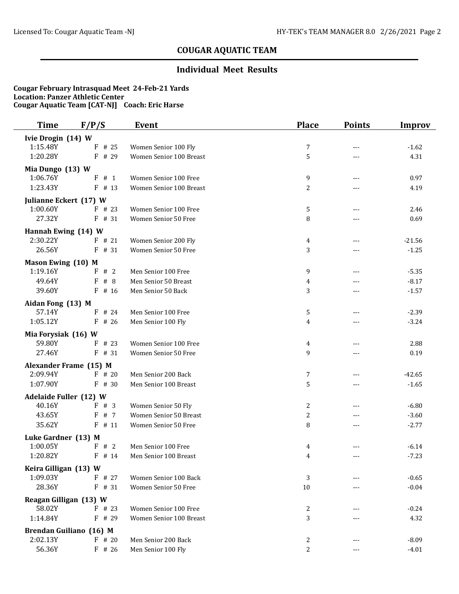## **Individual Meet Results**

| Time                                    | F/P/S                   | <b>Event</b>                                     | <b>Place</b>   | <b>Points</b>       | <b>Improv</b>      |
|-----------------------------------------|-------------------------|--------------------------------------------------|----------------|---------------------|--------------------|
| Ivie Drogin (14) W                      |                         |                                                  |                |                     |                    |
| 1:15.48Y                                | $F$ # 25                | Women Senior 100 Fly                             | $\overline{7}$ | $---$               | $-1.62$            |
| 1:20.28Y                                | $F$ # 29                | Women Senior 100 Breast                          | 5              | $---$               | 4.31               |
| Mia Dungo (13) W                        |                         |                                                  |                |                     |                    |
| 1:06.76Y                                | $F$ # 1                 | Women Senior 100 Free                            | 9              | $-$                 | 0.97               |
| 1:23.43Y                                | $F$ # 13                | Women Senior 100 Breast                          | 2              |                     | 4.19               |
| Julianne Eckert (17) W                  |                         |                                                  |                |                     |                    |
| 1:00.60Y                                | $F$ # 23                | Women Senior 100 Free                            | 5              |                     | 2.46               |
| 27.32Y                                  | F # 31                  | Women Senior 50 Free                             | 8              | $---$               | 0.69               |
| Hannah Ewing (14) W                     |                         |                                                  |                |                     |                    |
| 2:30.22Y                                | $F$ # 21                | Women Senior 200 Fly                             | 4              | $---$               | $-21.56$           |
| 26.56Y                                  | $F$ # 31                | Women Senior 50 Free                             | 3              | $---$               | $-1.25$            |
| Mason Ewing (10) M                      |                         |                                                  |                |                     |                    |
| 1:19.16Y                                | F # 2                   | Men Senior 100 Free                              | 9              | $---$               | $-5.35$            |
| 49.64Y                                  | F<br>#8                 | Men Senior 50 Breast                             | 4              |                     | $-8.17$            |
| 39.60Y                                  | $F$ # 16                | Men Senior 50 Back                               | 3              | ---                 | $-1.57$            |
| Aidan Fong (13) M                       |                         |                                                  |                |                     |                    |
| 57.14Y                                  | $F$ # 24                | Men Senior 100 Free                              | 5              | $\qquad \qquad - -$ | $-2.39$            |
| 1:05.12Y                                | $F$ # 26                | Men Senior 100 Fly                               | 4              |                     | $-3.24$            |
| Mia Forysiak (16) W                     |                         |                                                  |                |                     |                    |
| 59.80Y                                  | $F$ # 23                | Women Senior 100 Free                            | 4              | $- - -$             | 2.88               |
| 27.46Y                                  | $F$ # 31                | Women Senior 50 Free                             | 9              | $---$               | 0.19               |
|                                         | Alexander Frame (15) M  |                                                  |                |                     |                    |
| 2:09.94Y                                | $F$ # 20                | Men Senior 200 Back                              | 7              | ---                 | $-42.65$           |
| 1:07.90Y                                | $F$ # 30                | Men Senior 100 Breast                            | 5              | ---                 | $-1.65$            |
|                                         |                         |                                                  |                |                     |                    |
| <b>Adelaide Fuller (12) W</b><br>40.16Y | # 3<br>F                | Women Senior 50 Fly                              | 2              | ---                 | $-6.80$            |
| 43.65Y                                  | F<br># 7                | Women Senior 50 Breast                           | $\mathbf{2}$   | ---                 | $-3.60$            |
| 35.62Y                                  | $F$ # 11                | Women Senior 50 Free                             | 8              | ---                 | $-2.77$            |
|                                         |                         |                                                  |                |                     |                    |
| Luke Gardner (13) M<br>1:00.05Y         | F # 2                   | Men Senior 100 Free                              | 4              |                     | $-6.14$            |
| 1:20.82Y                                | $F$ # 14                | Men Senior 100 Breast                            | 4              |                     | $-7.23$            |
|                                         |                         |                                                  |                |                     |                    |
| Keira Gilligan (13) W<br>1:09.03Y       | $F$ # 27                | Women Senior 100 Back                            |                |                     |                    |
| 28.36Y                                  | $F$ # 31                | Women Senior 50 Free                             | 3<br>$10\,$    | ---                 | $-0.65$<br>$-0.04$ |
|                                         |                         |                                                  |                |                     |                    |
| Reagan Gilligan (13) W                  |                         |                                                  |                |                     |                    |
| 58.02Y                                  | $F$ # 23                | Women Senior 100 Free<br>Women Senior 100 Breast | 2              |                     | $-0.24$            |
| 1:14.84Y                                | $F$ # 29                |                                                  | 3              |                     | 4.32               |
|                                         | Brendan Guiliano (16) M |                                                  |                |                     |                    |
| 2:02.13Y                                | $F$ # 20                | Men Senior 200 Back                              | 2              |                     | $-8.09$            |
| 56.36Y                                  | $F$ # 26                | Men Senior 100 Fly                               | $\mathbf{2}$   | $\qquad \qquad - -$ | $-4.01$            |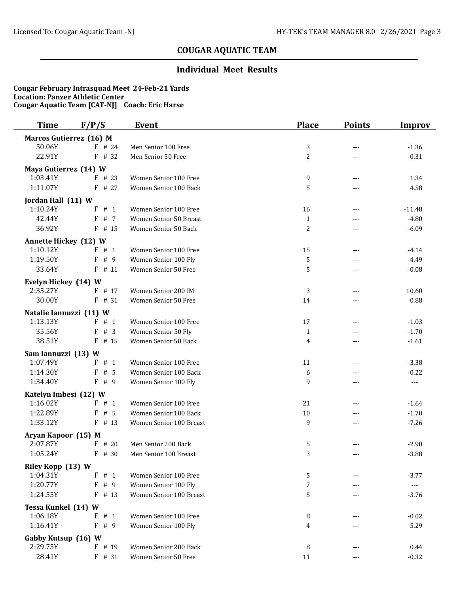### **Individual Meet Results**

| <b>Time</b>                     | F/P/S                   | <b>Event</b>            | <b>Place</b>   | <b>Points</b> | <b>Improv</b>                                                                                                                                                                                                                                                                                                                                                                                |
|---------------------------------|-------------------------|-------------------------|----------------|---------------|----------------------------------------------------------------------------------------------------------------------------------------------------------------------------------------------------------------------------------------------------------------------------------------------------------------------------------------------------------------------------------------------|
|                                 | Marcos Gutierrez (16) M |                         |                |               |                                                                                                                                                                                                                                                                                                                                                                                              |
| 50.06Y                          | $F$ # 24                | Men Senior 100 Free     | 3              | $---$         | $-1.36$                                                                                                                                                                                                                                                                                                                                                                                      |
| 22.91Y                          | # 32<br>F               | Men Senior 50 Free      | $\overline{2}$ | ---           | $-0.31$                                                                                                                                                                                                                                                                                                                                                                                      |
| Maya Gutierrez (14) W           |                         |                         |                |               |                                                                                                                                                                                                                                                                                                                                                                                              |
| 1:03.41Y                        | $F$ # 23                | Women Senior 100 Free   | 9              | ---           | 1.34                                                                                                                                                                                                                                                                                                                                                                                         |
| 1:11.07Y                        | # 27<br>F               | Women Senior 100 Back   | 5              | ---           | 4.58                                                                                                                                                                                                                                                                                                                                                                                         |
| Jordan Hall (11) W              |                         |                         |                |               |                                                                                                                                                                                                                                                                                                                                                                                              |
| 1:10.24Y                        | $_{\rm F}$<br># 1       | Women Senior 100 Free   | 16             | ---           | $-11.48$                                                                                                                                                                                                                                                                                                                                                                                     |
| 42.44Y                          | # 7<br>F                | Women Senior 50 Breast  | $\mathbf{1}$   | $---$         | $-4.80$                                                                                                                                                                                                                                                                                                                                                                                      |
| 36.92Y                          | $F$ # 15                | Women Senior 50 Back    | $\overline{c}$ | ---           | $-6.09$                                                                                                                                                                                                                                                                                                                                                                                      |
| <b>Annette Hickey (12) W</b>    |                         |                         |                |               |                                                                                                                                                                                                                                                                                                                                                                                              |
| 1:10.12Y                        | # 1<br>F.               | Women Senior 100 Free   | 15             | $---$         | $-4.14$                                                                                                                                                                                                                                                                                                                                                                                      |
| 1:19.50Y                        | # 9<br>F                | Women Senior 100 Fly    | 5              | ---           | $-4.49$                                                                                                                                                                                                                                                                                                                                                                                      |
| 33.64Y                          | F<br># 11               | Women Senior 50 Free    | 5              | ---           | $-0.08$                                                                                                                                                                                                                                                                                                                                                                                      |
| Evelyn Hickey (14) W            |                         |                         |                |               |                                                                                                                                                                                                                                                                                                                                                                                              |
| 2:35.27Y                        | F # 17                  | Women Senior 200 IM     | $\sqrt{3}$     | $---$         | 10.60                                                                                                                                                                                                                                                                                                                                                                                        |
| 30.00Y                          | F<br># 31               | Women Senior 50 Free    | 14             | ---           | 0.88                                                                                                                                                                                                                                                                                                                                                                                         |
| Natalie Iannuzzi (11) W         |                         |                         |                |               |                                                                                                                                                                                                                                                                                                                                                                                              |
| 1:13.13Y                        | F.<br># 1               | Women Senior 100 Free   | 17             | ---           | $-1.03$                                                                                                                                                                                                                                                                                                                                                                                      |
| 35.56Y                          | # 3<br>F                | Women Senior 50 Fly     | $\mathbf{1}$   | ---           | $-1.70$                                                                                                                                                                                                                                                                                                                                                                                      |
| 38.51Y                          | F<br># 15               | Women Senior 50 Back    | 4              | $---$         | $-1.61$                                                                                                                                                                                                                                                                                                                                                                                      |
| Sam Iannuzzi (13) W             |                         |                         |                |               |                                                                                                                                                                                                                                                                                                                                                                                              |
| 1:07.49Y                        | $\mathbf{F}$<br># 1     | Women Senior 100 Free   | 11             | $---$         | $-3.38$                                                                                                                                                                                                                                                                                                                                                                                      |
| 1:14.30Y                        | # 5<br>F                | Women Senior 100 Back   | 6              | ---           | $-0.22$                                                                                                                                                                                                                                                                                                                                                                                      |
| 1:34.40Y                        | F<br># 9                | Women Senior 100 Fly    | 9              | $---$         | $\qquad \qquad - -$                                                                                                                                                                                                                                                                                                                                                                          |
| Katelyn Imbesi (12) W           |                         |                         |                |               |                                                                                                                                                                                                                                                                                                                                                                                              |
| 1:16.02Y                        | # 1<br>F                | Women Senior 100 Free   | 21             | ---           | $-1.64$                                                                                                                                                                                                                                                                                                                                                                                      |
| 1:22.89Y                        | F<br># 5                | Women Senior 100 Back   | 10             | ---           | $-1.70$                                                                                                                                                                                                                                                                                                                                                                                      |
| 1:33.12Y                        | F<br># 13               | Women Senior 100 Breast | 9              | ---           | $-7.26$                                                                                                                                                                                                                                                                                                                                                                                      |
| Aryan Kapoor (15) M             |                         |                         |                |               |                                                                                                                                                                                                                                                                                                                                                                                              |
| 2:07.87Y                        | $F$ # 20                | Men Senior 200 Back     | 5              |               | $-2.90$                                                                                                                                                                                                                                                                                                                                                                                      |
| 1:05.24Y                        | F<br># 30               | Men Senior 100 Breast   | 3              | $---$         | $-3.88$                                                                                                                                                                                                                                                                                                                                                                                      |
| Riley Kopp (13) W               |                         |                         |                |               |                                                                                                                                                                                                                                                                                                                                                                                              |
| 1:04.31Y                        | F<br># 1                | Women Senior 100 Free   | 5              |               | $-3.77$                                                                                                                                                                                                                                                                                                                                                                                      |
| 1:20.77Y                        | $\rm F$<br># 9          | Women Senior 100 Fly    | 7              |               | $\frac{1}{2} \frac{1}{2} \frac{1}{2} \frac{1}{2} \frac{1}{2} \frac{1}{2} \frac{1}{2} \frac{1}{2} \frac{1}{2} \frac{1}{2} \frac{1}{2} \frac{1}{2} \frac{1}{2} \frac{1}{2} \frac{1}{2} \frac{1}{2} \frac{1}{2} \frac{1}{2} \frac{1}{2} \frac{1}{2} \frac{1}{2} \frac{1}{2} \frac{1}{2} \frac{1}{2} \frac{1}{2} \frac{1}{2} \frac{1}{2} \frac{1}{2} \frac{1}{2} \frac{1}{2} \frac{1}{2} \frac{$ |
| 1:24.55Y                        | $\mathbf{F}$<br># 13    | Women Senior 100 Breast | 5              | $---$         | $-3.76$                                                                                                                                                                                                                                                                                                                                                                                      |
| Tessa Kunkel (14) W             |                         |                         |                |               |                                                                                                                                                                                                                                                                                                                                                                                              |
| 1:06.18Y                        | # 1<br>F                | Women Senior 100 Free   | 8              | $---$         | $-0.02$                                                                                                                                                                                                                                                                                                                                                                                      |
| 1:16.41Y                        | $\mathbf{F}$<br># 9     | Women Senior 100 Fly    | 4              |               | 5.29                                                                                                                                                                                                                                                                                                                                                                                         |
|                                 |                         |                         |                |               |                                                                                                                                                                                                                                                                                                                                                                                              |
| Gabby Kutsup (16) W<br>2:29.75Y | F # 19                  | Women Senior 200 Back   |                |               |                                                                                                                                                                                                                                                                                                                                                                                              |
| 28.41Y                          |                         | Women Senior 50 Free    | 8              | ---           | 0.44                                                                                                                                                                                                                                                                                                                                                                                         |
|                                 | $F$ # 31                |                         | 11             | ---           | $-0.32$                                                                                                                                                                                                                                                                                                                                                                                      |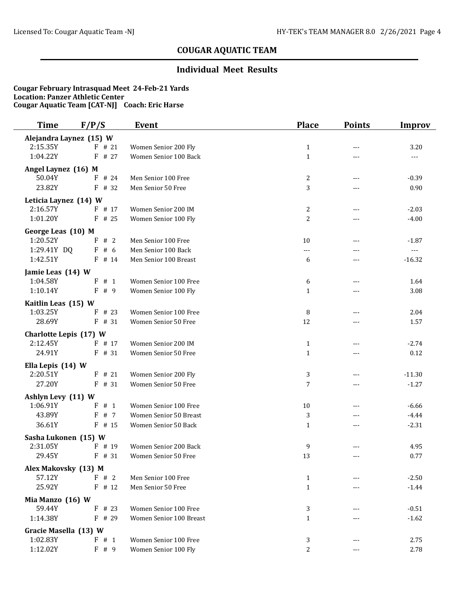## **Individual Meet Results**

| <b>Time</b>                        | F/P/S              | <b>Event</b>            | <b>Place</b>                 | <b>Points</b> | Improv        |
|------------------------------------|--------------------|-------------------------|------------------------------|---------------|---------------|
| Alejandra Laynez (15) W            |                    |                         |                              |               |               |
| 2:15.35Y                           | $F$ # 21           | Women Senior 200 Fly    | $\mathbf{1}$                 | ---           | 3.20          |
| 1:04.22Y                           | F<br># 27          | Women Senior 100 Back   | $\mathbf{1}$                 | ---           | $\cdots$      |
| Angel Laynez (16) M                |                    |                         |                              |               |               |
| 50.04Y                             | $F$ # 24           | Men Senior 100 Free     | $\overline{c}$               | $---$         | $-0.39$       |
| 23.82Y                             | $F$ # 32           | Men Senior 50 Free      | 3                            | $ -$          | 0.90          |
| Leticia Laynez (14) W              |                    |                         |                              |               |               |
| 2:16.57Y                           | $F$ # 17           | Women Senior 200 IM     | 2                            | $---$         | $-2.03$       |
| 1:01.20Y                           | $F$ # 25           | Women Senior 100 Fly    | $\overline{c}$               | ---           | $-4.00$       |
| George Leas (10) M                 |                    |                         |                              |               |               |
| 1:20.52Y                           | #2<br>F            | Men Senior 100 Free     | 10                           | ---           | $-1.87$       |
| 1:29.41Y DQ                        | F#6                | Men Senior 100 Back     | $---$                        |               | $\sim$ $\sim$ |
| 1:42.51Y                           | $F$ # 14           | Men Senior 100 Breast   | 6                            | $---$         | $-16.32$      |
| Jamie Leas (14) W                  |                    |                         |                              |               |               |
| 1:04.58Y                           | $F$ # 1            | Women Senior 100 Free   | 6                            | $---$         | 1.64          |
| 1:10.14Y                           | $\mathbf{F}$<br>#9 | Women Senior 100 Fly    | $\mathbf{1}$                 | ---           | 3.08          |
| Kaitlin Leas (15) W                |                    |                         |                              |               |               |
| 1:03.25Y                           | $F$ # 23           | Women Senior 100 Free   | 8                            |               | 2.04          |
| 28.69Y                             | $F$ # 31           | Women Senior 50 Free    | 12                           | $---$         | 1.57          |
|                                    |                    |                         |                              |               |               |
| Charlotte Lepis (17) W<br>2:12.45Y | $F$ # 17           | Women Senior 200 IM     |                              |               | $-2.74$       |
| 24.91Y                             | F # 31             | Women Senior 50 Free    | $\mathbf{1}$<br>$\mathbf{1}$ | $---$         | 0.12          |
|                                    |                    |                         |                              |               |               |
| Ella Lepis (14) W                  |                    |                         |                              |               |               |
| 2:20.51Y<br>27.20Y                 | $F$ # 21           | Women Senior 200 Fly    | 3                            | ---           | $-11.30$      |
|                                    | $F$ # 31           | Women Senior 50 Free    | 7                            | ---           | $-1.27$       |
| Ashlyn Levy (11) W                 |                    |                         |                              |               |               |
| 1:06.91Y                           | F<br># 1           | Women Senior 100 Free   | 10                           |               | $-6.66$       |
| 43.89Y                             | F # 7              | Women Senior 50 Breast  | 3                            | ---           | $-4.44$       |
| 36.61Y                             | $F$ # 15           | Women Senior 50 Back    | $\mathbf{1}$                 | $---$         | $-2.31$       |
| Sasha Lukonen (15) W               |                    |                         |                              |               |               |
| 2:31.05Y                           | $F$ # 19           | Women Senior 200 Back   | 9                            | ---           | 4.95          |
| 29.45Y                             | $F$ # 31           | Women Senior 50 Free    | 13                           |               | 0.77          |
| Alex Makovsky (13) M               |                    |                         |                              |               |               |
| 57.12Y                             | F # 2              | Men Senior 100 Free     | $\mathbf{1}$                 |               | $-2.50$       |
| 25.92Y                             | $F$ # 12           | Men Senior 50 Free      | $\mathbf{1}$                 |               | $-1.44$       |
| Mia Manzo (16) W                   |                    |                         |                              |               |               |
| 59.44Y                             | $F$ # 23           | Women Senior 100 Free   | 3                            |               | $-0.51$       |
| 1:14.38Y                           | $F$ # 29           | Women Senior 100 Breast | $\mathbf{1}$                 |               | $-1.62$       |
| Gracie Masella (13) W              |                    |                         |                              |               |               |
| 1:02.83Y                           | F # 1              | Women Senior 100 Free   | 3                            | ---           | 2.75          |
| 1:12.02Y                           | F # 9              | Women Senior 100 Fly    | $\overline{c}$               | ---           | 2.78          |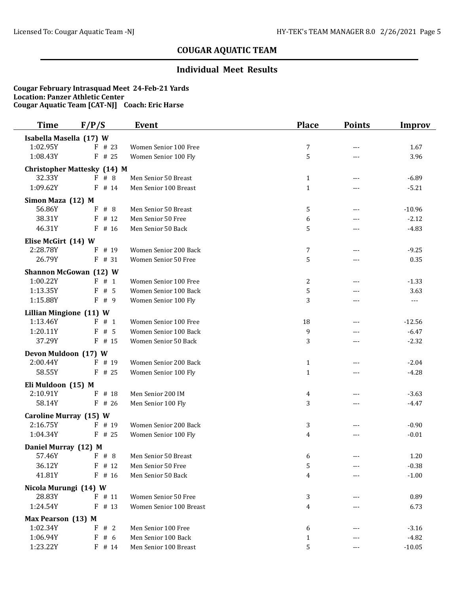## **Individual Meet Results**

| <b>Time</b>             | F/P/S                              | <b>Event</b>            | <b>Place</b> | <b>Points</b> | <b>Improv</b> |
|-------------------------|------------------------------------|-------------------------|--------------|---------------|---------------|
| Isabella Masella (17) W |                                    |                         |              |               |               |
| 1:02.95Y                | # 23<br>F.                         | Women Senior 100 Free   | 7            | ---           | 1.67          |
| 1:08.43Y                | # 25<br>F                          | Women Senior 100 Fly    | 5            | $---$         | 3.96          |
|                         | <b>Christopher Mattesky (14) M</b> |                         |              |               |               |
| 32.33Y                  | #8<br>F                            | Men Senior 50 Breast    | $\mathbf{1}$ | ---           | $-6.89$       |
| 1:09.62Y                | F<br># 14                          | Men Senior 100 Breast   | $\mathbf{1}$ |               | $-5.21$       |
| Simon Maza (12) M       |                                    |                         |              |               |               |
| 56.86Y                  | #8<br>F                            | Men Senior 50 Breast    | 5            | ---           | $-10.96$      |
| 38.31Y                  | F<br># 12                          | Men Senior 50 Free      | 6            | ---           | $-2.12$       |
| 46.31Y                  | F<br># 16                          | Men Senior 50 Back      | 5            | ---           | $-4.83$       |
| Elise McGirt (14) W     |                                    |                         |              |               |               |
| 2:28.78Y                | F<br># 19                          | Women Senior 200 Back   | 7            | ---           | $-9.25$       |
| 26.79Y                  | $F$ # 31                           | Women Senior 50 Free    | 5            | $---$         | 0.35          |
|                         | <b>Shannon McGowan (12) W</b>      |                         |              |               |               |
| 1:00.22Y                | F # 1                              | Women Senior 100 Free   | 2            | $---$         | $-1.33$       |
| 1:13.35Y                | # 5<br>F                           | Women Senior 100 Back   | 5            | $---$         | 3.63          |
| 1:15.88Y                | # 9<br>F                           | Women Senior 100 Fly    | 3            | ---           | ---           |
| Lillian Mingione (11) W |                                    |                         |              |               |               |
| 1:13.46Y                | F # 1                              | Women Senior 100 Free   | 18           | $---$         | $-12.56$      |
| 1:20.11Y                | # 5<br>F                           | Women Senior 100 Back   | 9            | ---           | $-6.47$       |
| 37.29Y                  | $F$ # 15                           | Women Senior 50 Back    | 3            | ---           | $-2.32$       |
| Devon Muldoon (17) W    |                                    |                         |              |               |               |
| 2:00.44Y                | $F$ # 19                           | Women Senior 200 Back   | $\mathbf{1}$ | ---           | $-2.04$       |
| 58.55Y                  | $F$ # 25                           | Women Senior 100 Fly    | $\mathbf{1}$ | ---           | $-4.28$       |
| Eli Muldoon (15) M      |                                    |                         |              |               |               |
| 2:10.91Y                | $F$ # 18                           | Men Senior 200 IM       | 4            | $- - -$       | $-3.63$       |
| 58.14Y                  | F<br># 26                          | Men Senior 100 Fly      | 3            | ---           | $-4.47$       |
| Caroline Murray (15) W  |                                    |                         |              |               |               |
| 2:16.75Y                | F # 19                             | Women Senior 200 Back   | 3            |               | $-0.90$       |
| 1:04.34Y                | $F$ # 25                           | Women Senior 100 Fly    | 4            | ---           | $-0.01$       |
| Daniel Murray (12) M    |                                    |                         |              |               |               |
| 57.46Y                  | $F \# 8$                           | Men Senior 50 Breast    | 6            |               | 1.20          |
| 36.12Y                  | $F$ # 12                           | Men Senior 50 Free      | 5            |               | $-0.38$       |
| 41.81Y                  | $F$ # 16                           | Men Senior 50 Back      | 4            |               | $-1.00$       |
| Nicola Murungi (14) W   |                                    |                         |              |               |               |
| 28.83Y                  | $F$ # 11                           | Women Senior 50 Free    | 3            |               | 0.89          |
| 1:24.54Y                | $F$ # 13                           | Women Senior 100 Breast | 4            |               | 6.73          |
| Max Pearson (13) M      |                                    |                         |              |               |               |
| 1:02.34Y                | F # 2                              | Men Senior 100 Free     | 6            |               | $-3.16$       |
| 1:06.94Y                | F#6                                | Men Senior 100 Back     | 1            |               | $-4.82$       |
| 1:23.22Y                | $F$ # 14                           | Men Senior 100 Breast   | 5            | ---           | $-10.05$      |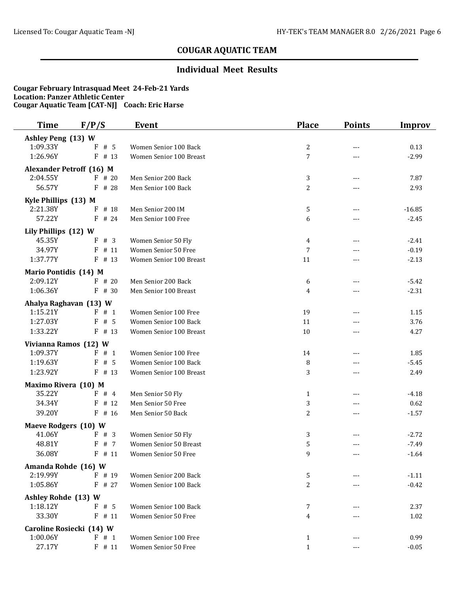## **Individual Meet Results**

| Time                              | F/P/S                           | <b>Event</b>                                   | <b>Place</b>     | <b>Points</b> | <b>Improv</b>   |
|-----------------------------------|---------------------------------|------------------------------------------------|------------------|---------------|-----------------|
| Ashley Peng (13) W                |                                 |                                                |                  |               |                 |
| 1:09.33Y                          | F<br># 5                        | Women Senior 100 Back                          | $\boldsymbol{2}$ | ---           | 0.13            |
| 1:26.96Y                          | F<br># 13                       | Women Senior 100 Breast                        | 7                | ---           | $-2.99$         |
|                                   | <b>Alexander Petroff (16) M</b> |                                                |                  |               |                 |
| 2:04.55Y                          | $F$ # 20                        | Men Senior 200 Back                            | 3                | ---           | 7.87            |
| 56.57Y                            | # 28<br>F                       | Men Senior 100 Back                            | $\overline{c}$   | ---           | 2.93            |
| Kyle Phillips (13) M              |                                 |                                                |                  |               |                 |
| 2:21.38Y                          | # 18<br>F                       | Men Senior 200 IM                              | 5                | $---$         | $-16.85$        |
| 57.22Y                            | $\mathbf{F}$<br># 24            | Men Senior 100 Free                            | 6                | ---           | $-2.45$         |
| Lily Phillips (12) W              |                                 |                                                |                  |               |                 |
| 45.35Y                            | F # 3                           | Women Senior 50 Fly                            | $\overline{4}$   | $---$         | $-2.41$         |
| 34.97Y                            | #11<br>F                        | Women Senior 50 Free                           | 7                | ---           | $-0.19$         |
| 1:37.77Y                          | F<br># 13                       | Women Senior 100 Breast                        | 11               | ---           | $-2.13$         |
| Mario Pontidis (14) M             |                                 |                                                |                  |               |                 |
| 2:09.12Y                          | $F$ # 20                        | Men Senior 200 Back                            | 6                |               | $-5.42$         |
| 1:06.36Y                          | $F$ # 30                        | Men Senior 100 Breast                          | 4                | ---           | $-2.31$         |
|                                   |                                 |                                                |                  |               |                 |
| 1:15.21Y                          | Ahalya Raghavan (13) W<br>F # 1 | Women Senior 100 Free                          | 19               | $---$         | 1.15            |
| 1:27.03Y                          | # 5<br>F                        | Women Senior 100 Back                          | 11               | ---           | 3.76            |
| 1:33.22Y                          | F<br># 13                       | Women Senior 100 Breast                        | 10               | ---           | 4.27            |
|                                   |                                 |                                                |                  |               |                 |
| Vivianna Ramos (12) W<br>1:09.37Y | F.<br># 1                       |                                                |                  |               |                 |
| 1:19.63Y                          | # 5<br>F                        | Women Senior 100 Free<br>Women Senior 100 Back | 14               | ---           | 1.85<br>$-5.45$ |
| 1:23.92Y                          | F<br># 13                       | Women Senior 100 Breast                        | 8<br>3           | ---           | 2.49            |
|                                   |                                 |                                                |                  |               |                 |
| Maximo Rivera (10) M              |                                 |                                                |                  |               |                 |
| 35.22Y                            | F # 4                           | Men Senior 50 Fly                              | $\mathbf 1$      | $---$         | $-4.18$         |
| 34.34Y<br>39.20Y                  | F<br># 12<br>F                  | Men Senior 50 Free                             | 3                | ---           | 0.62            |
|                                   | # 16                            | Men Senior 50 Back                             | 2                | $---$         | $-1.57$         |
| Maeve Rodgers (10) W              |                                 |                                                |                  |               |                 |
| 41.06Y                            | F # 3                           | Women Senior 50 Fly                            | 3                |               | $-2.72$         |
| 48.81Y                            | # 7<br>F                        | Women Senior 50 Breast                         | 5                | ---           | $-7.49$         |
| 36.08Y                            | $F$ # 11                        | <b>Women Senior 50 Free</b>                    | 9                | ---           | $-1.64$         |
| Amanda Rohde (16) W               |                                 |                                                |                  |               |                 |
| 2:19.99Y                          | F # 19                          | Women Senior 200 Back                          | 5                |               | $-1.11$         |
| 1:05.86Y                          | $F$ # 27                        | Women Senior 100 Back                          | 2                | ---           | $-0.42$         |
| Ashley Rohde (13) W               |                                 |                                                |                  |               |                 |
| 1:18.12Y                          | F#5                             | Women Senior 100 Back                          | 7                |               | 2.37            |
| 33.30Y                            | $F$ # 11                        | Women Senior 50 Free                           | 4                |               | 1.02            |
|                                   | Caroline Rosiecki (14) W        |                                                |                  |               |                 |
| 1:00.06Y                          | F # 1                           | Women Senior 100 Free                          | 1                |               | 0.99            |
| 27.17Y                            | $F$ # 11                        | Women Senior 50 Free                           | $\mathbf{1}$     | ---           | $-0.05$         |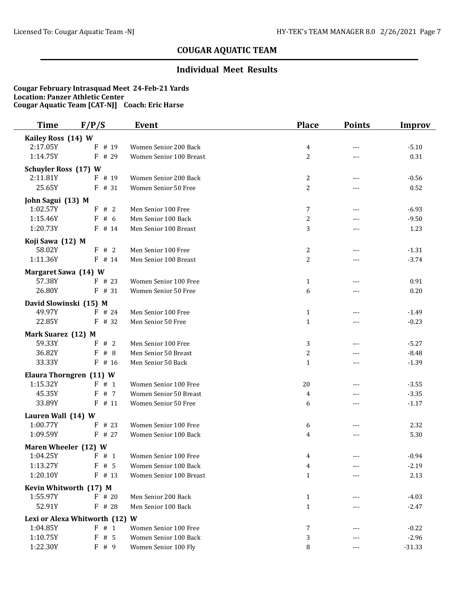## **Individual Meet Results**

| Time                         | F/P/S                          | <b>Event</b>            | <b>Place</b>        | <b>Points</b> | <b>Improv</b>      |
|------------------------------|--------------------------------|-------------------------|---------------------|---------------|--------------------|
| Kailey Ross (14) W           |                                |                         |                     |               |                    |
| 2:17.05Y                     | $_{\rm F}$<br># 19             | Women Senior 200 Back   | 4                   |               | $-5.10$            |
| 1:14.75Y                     | F<br># 29                      | Women Senior 100 Breast | $\overline{c}$      | ---           | 0.31               |
| <b>Schuyler Ross (17) W</b>  |                                |                         |                     |               |                    |
| 2:11.81Y                     | F # 19                         | Women Senior 200 Back   | $\mathbf{2}$        | $---$         | $-0.56$            |
| 25.65Y                       | $F$ # 31                       | Women Senior 50 Free    | 2                   |               | 0.52               |
| John Sagui (13) M            |                                |                         |                     |               |                    |
| 1:02.57Y                     | F # 2                          | Men Senior 100 Free     | 7                   |               | $-6.93$            |
| 1:15.46Y                     | F#6                            | Men Senior 100 Back     | $\overline{c}$      |               | $-9.50$            |
| 1:20.73Y                     | $F$ # 14                       | Men Senior 100 Breast   | 3                   | $---$         | 1.23               |
| Koji Sawa (12) M             |                                |                         |                     |               |                    |
| 58.02Y                       | F # 2                          | Men Senior 100 Free     | 2                   | $---$         | $-1.31$            |
| 1:11.36Y                     | $F$ # 14                       | Men Senior 100 Breast   | 2                   |               | $-3.74$            |
| Margaret Sawa (14) W         |                                |                         |                     |               |                    |
| 57.38Y                       | $F$ # 23                       | Women Senior 100 Free   | $\mathbf{1}$        |               | 0.91               |
| 26.80Y                       | $F$ # 31                       | Women Senior 50 Free    | 6                   |               | 0.20               |
| David Slowinski (15) M       |                                |                         |                     |               |                    |
| 49.97Y                       | $F$ # 24                       | Men Senior 100 Free     | $\mathbf{1}$        | ---           | $-1.49$            |
| 22.85Y                       | $F$ # 32                       | Men Senior 50 Free      | $\mathbf{1}$        | ---           | $-0.23$            |
|                              |                                |                         |                     |               |                    |
| Mark Suarez (12) M<br>59.33Y | F # 2                          | Men Senior 100 Free     |                     |               | $-5.27$            |
| 36.82Y                       | F<br>#8                        | Men Senior 50 Breast    | 3<br>$\overline{c}$ |               |                    |
| 33.33Y                       | $F$ # 16                       | Men Senior 50 Back      | $\mathbf{1}$        | $---$         | $-8.48$<br>$-1.39$ |
|                              |                                |                         |                     |               |                    |
|                              | Elaura Thorngren (11) W        |                         |                     |               |                    |
| 1:15.32Y                     | F # 1                          | Women Senior 100 Free   | 20                  | $---$         | $-3.55$            |
| 45.35Y<br>33.89Y             | F<br>#7                        | Women Senior 50 Breast  | 4                   | $- - -$       | $-3.35$            |
|                              | $F$ # 11                       | Women Senior 50 Free    | 6                   |               | $-1.17$            |
| Lauren Wall (14) W           |                                |                         |                     |               |                    |
| 1:00.77Y                     | $F$ # 23                       | Women Senior 100 Free   | 6                   |               | 2.32               |
| 1:09.59Y                     | $F$ # 27                       | Women Senior 100 Back   | 4                   | $---$         | 5.30               |
| Maren Wheeler (12) W         |                                |                         |                     |               |                    |
| 1:04.25Y                     | $F \# 1$                       | Women Senior 100 Free   | 4                   |               | $-0.94$            |
| 1:13.27Y                     | F#5                            | Women Senior 100 Back   | 4                   |               | $-2.19$            |
| 1:20.10Y                     | $F$ # 13                       | Women Senior 100 Breast | $\mathbf{1}$        |               | 2.13               |
|                              | Kevin Whitworth (17) M         |                         |                     |               |                    |
| 1:55.97Y                     | $F$ # 20                       | Men Senior 200 Back     | $\mathbf{1}$        |               | $-4.03$            |
| 52.91Y                       | $F$ # 28                       | Men Senior 100 Back     | $\mathbf{1}$        |               | $-2.47$            |
|                              | Lexi or Alexa Whitworth (12) W |                         |                     |               |                    |
| 1:04.85Y                     | F#1                            | Women Senior 100 Free   | 7                   |               | $-0.22$            |
| 1:10.75Y                     | F#5                            | Women Senior 100 Back   | 3                   |               | $-2.96$            |
| 1:22.30Y                     | F # 9                          | Women Senior 100 Fly    | 8                   | ---           | $-31.33$           |